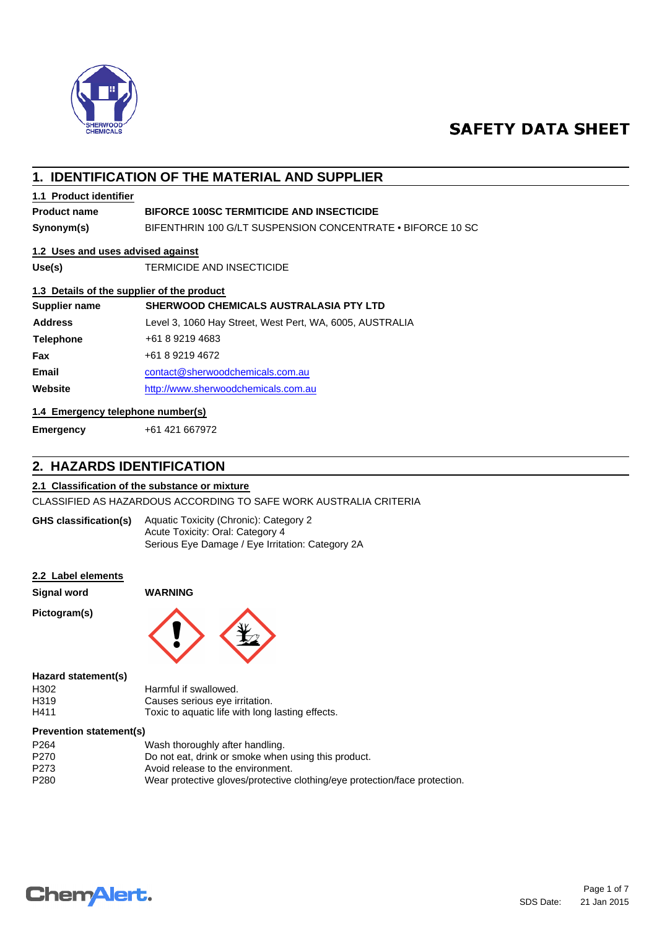

# **SAFETY DATA SHEET**

# **1. IDENTIFICATION OF THE MATERIAL AND SUPPLIER**

## **1.1 Product identifier**

# **Product name BIFORCE 100SC TERMITICIDE AND INSECTICIDE**

**Synonym(s)** BIFENTHRIN 100 G/LT SUSPENSION CONCENTRATE • BIFORCE 10 SC

## **1.2 Uses and uses advised against**

**Use(s)** TERMICIDE AND INSECTICIDE

### **1.3 Details of the supplier of the product**

| Supplier name    | <b>SHERWOOD CHEMICALS AUSTRALASIA PTY LTD</b>            |  |
|------------------|----------------------------------------------------------|--|
| <b>Address</b>   | Level 3, 1060 Hay Street, West Pert, WA, 6005, AUSTRALIA |  |
| <b>Telephone</b> | +61 8 9219 4683                                          |  |
| Fax              | +61 8 9219 4672                                          |  |
| <b>Email</b>     | contact@sherwoodchemicals.com.au                         |  |
| Website          | http://www.sherwoodchemicals.com.au                      |  |

#### **1.4 Emergency telephone number(s)**

**Emergency** +61 421 667972

# **2. HAZARDS IDENTIFICATION**

#### **2.1 Classification of the substance or mixture**

CLASSIFIED AS HAZARDOUS ACCORDING TO SAFE WORK AUSTRALIA CRITERIA

Aquatic Toxicity (Chronic): Category 2 Acute Toxicity: Oral: Category 4 Serious Eye Damage / Eye Irritation: Category 2A **GHS classification(s)**

#### **2.2 Label elements**

**Signal word WARNING**

**Pictogram(s)**



#### **Hazard statement(s)**

| H302 | Harmful if swallowed.                            |
|------|--------------------------------------------------|
| H319 | Causes serious eye irritation.                   |
| H411 | Toxic to aquatic life with long lasting effects. |

#### **Prevention statement(s)**

| P <sub>264</sub> | Wash thoroughly after handling.                                            |
|------------------|----------------------------------------------------------------------------|
| P270             | Do not eat, drink or smoke when using this product.                        |
| P273             | Avoid release to the environment.                                          |
| P280             | Wear protective gloves/protective clothing/eye protection/face protection. |
|                  |                                                                            |

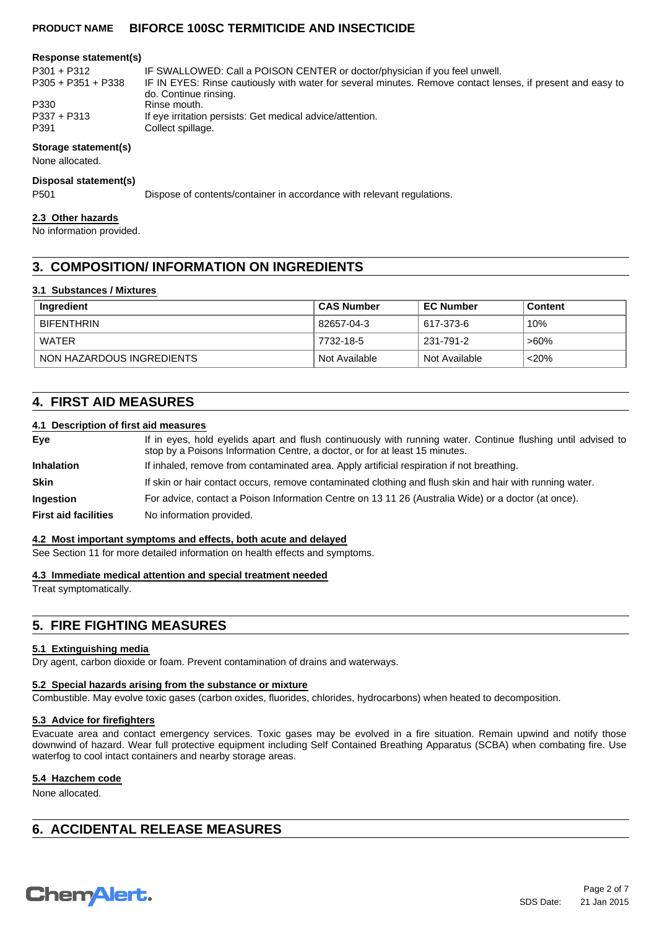#### **Response statement(s)**

| P301 + P312        | IF SWALLOWED: Call a POISON CENTER or doctor/physician if you feel unwell.                                 |  |  |
|--------------------|------------------------------------------------------------------------------------------------------------|--|--|
| P305 + P351 + P338 | IF IN EYES: Rinse cautiously with water for several minutes. Remove contact lenses, if present and easy to |  |  |
|                    | do. Continue rinsing.                                                                                      |  |  |
| P330               | Rinse mouth.                                                                                               |  |  |
| P337 + P313        | If eye irritation persists: Get medical advice/attention.                                                  |  |  |
| P391               | Collect spillage.                                                                                          |  |  |

#### **Storage statement(s)**

None allocated.

#### **Disposal statement(s)**

P501 Dispose of contents/container in accordance with relevant regulations.

#### **2.3 Other hazards**

No information provided.

# **3. COMPOSITION/ INFORMATION ON INGREDIENTS**

#### **3.1 Substances / Mixtures**

| Ingredient                | <b>CAS Number</b> | <b>EC Number</b> | <b>Content</b> |
|---------------------------|-------------------|------------------|----------------|
| <b>BIFENTHRIN</b>         | 82657-04-3        | 617-373-6        | 10%            |
| WATER                     | 7732-18-5         | 231-791-2        | ՝ >60%         |
| NON HAZARDOUS INGREDIENTS | Not Available     | ` Not Available  | <20%           |

# **4. FIRST AID MEASURES**

#### **4.1 Description of first aid measures**

| If in eyes, hold eyelids apart and flush continuously with running water. Continue flushing until advised to<br>stop by a Poisons Information Centre, a doctor, or for at least 15 minutes. |  |  |
|---------------------------------------------------------------------------------------------------------------------------------------------------------------------------------------------|--|--|
| If inhaled, remove from contaminated area. Apply artificial respiration if not breathing.                                                                                                   |  |  |
| If skin or hair contact occurs, remove contaminated clothing and flush skin and hair with running water.                                                                                    |  |  |
| For advice, contact a Poison Information Centre on 13 11 26 (Australia Wide) or a doctor (at once).                                                                                         |  |  |
| No information provided.                                                                                                                                                                    |  |  |
|                                                                                                                                                                                             |  |  |

#### **4.2 Most important symptoms and effects, both acute and delayed**

See Section 11 for more detailed information on health effects and symptoms.

#### **4.3 Immediate medical attention and special treatment needed**

Treat symptomatically.

# **5. FIRE FIGHTING MEASURES**

#### **5.1 Extinguishing media**

Dry agent, carbon dioxide or foam. Prevent contamination of drains and waterways.

#### **5.2 Special hazards arising from the substance or mixture**

Combustible. May evolve toxic gases (carbon oxides, fluorides, chlorides, hydrocarbons) when heated to decomposition.

#### **5.3 Advice for firefighters**

Evacuate area and contact emergency services. Toxic gases may be evolved in a fire situation. Remain upwind and notify those downwind of hazard. Wear full protective equipment including Self Contained Breathing Apparatus (SCBA) when combating fire. Use waterfog to cool intact containers and nearby storage areas.

## **5.4 Hazchem code**

None allocated.

# **6. ACCIDENTAL RELEASE MEASURES**

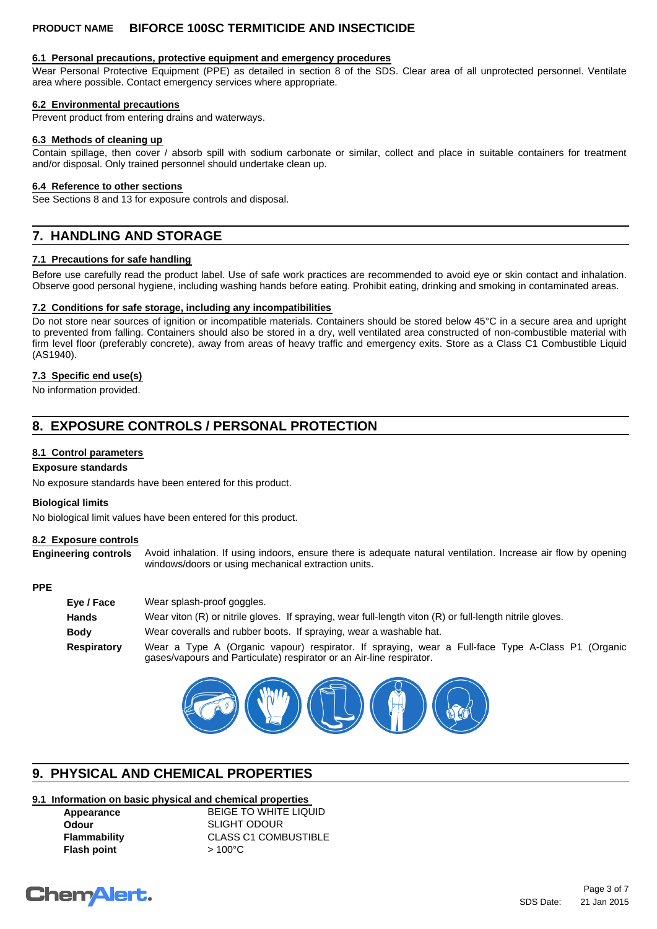#### **6.1 Personal precautions, protective equipment and emergency procedures**

Wear Personal Protective Equipment (PPE) as detailed in section 8 of the SDS. Clear area of all unprotected personnel. Ventilate area where possible. Contact emergency services where appropriate.

#### **6.2 Environmental precautions**

Prevent product from entering drains and waterways.

#### **6.3 Methods of cleaning up**

Contain spillage, then cover / absorb spill with sodium carbonate or similar, collect and place in suitable containers for treatment and/or disposal. Only trained personnel should undertake clean up.

#### **6.4 Reference to other sections**

See Sections 8 and 13 for exposure controls and disposal.

# **7. HANDLING AND STORAGE**

#### **7.1 Precautions for safe handling**

Before use carefully read the product label. Use of safe work practices are recommended to avoid eye or skin contact and inhalation. Observe good personal hygiene, including washing hands before eating. Prohibit eating, drinking and smoking in contaminated areas.

#### **7.2 Conditions for safe storage, including any incompatibilities**

Do not store near sources of ignition or incompatible materials. Containers should be stored below 45°C in a secure area and upright to prevented from falling. Containers should also be stored in a dry, well ventilated area constructed of non-combustible material with firm level floor (preferably concrete), away from areas of heavy traffic and emergency exits. Store as a Class C1 Combustible Liquid (AS1940).

#### **7.3 Specific end use(s)**

No information provided.

# **8. EXPOSURE CONTROLS / PERSONAL PROTECTION**

#### **8.1 Control parameters**

#### **Exposure standards**

No exposure standards have been entered for this product.

#### **Biological limits**

No biological limit values have been entered for this product.

#### **8.2 Exposure controls**

**Engineering controls** Avoid inhalation. If using indoors, ensure there is adequate natural ventilation. Increase air flow by opening windows/doors or using mechanical extraction units.

#### **PPE**

| Eye / Face   | Wear splash-proof goggles.                                                                                                                                                |  |  |
|--------------|---------------------------------------------------------------------------------------------------------------------------------------------------------------------------|--|--|
| <b>Hands</b> | Wear viton (R) or nitrile gloves. If spraying, wear full-length viton (R) or full-length nitrile gloves.                                                                  |  |  |
| <b>Body</b>  | Wear coveralls and rubber boots. If spraying, wear a washable hat.                                                                                                        |  |  |
| Respiratory  | Wear a Type A (Organic vapour) respirator. If spraying, wear a Full-face Type A-Class P1 (Organic<br>gases/vapours and Particulate) respirator or an Air-line respirator. |  |  |



# **9. PHYSICAL AND CHEMICAL PROPERTIES**

## **9.1 Information on basic physical and chemical properties**

| Appearance          |  |
|---------------------|--|
| Odour               |  |
| <b>Flammability</b> |  |
| <b>Flash point</b>  |  |

**BEIGE TO WHITE LIQUID Odour** SLIGHT ODOUR **CLASS C1 COMBUSTIBLE Flash point** > 100°C

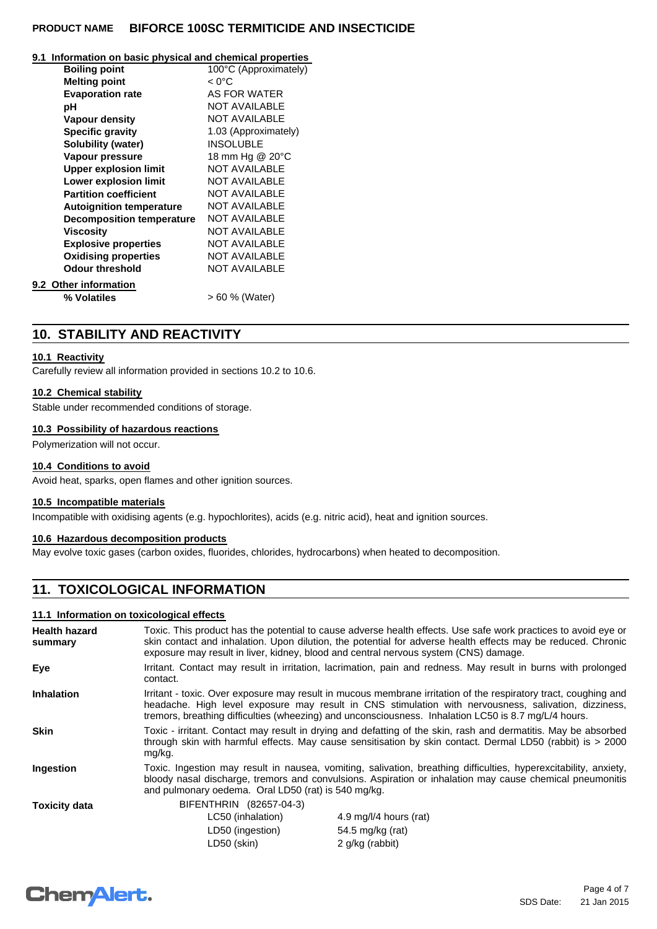#### **9.1 Information on basic physical and chemical properties**

| <b>Boiling point</b>             | 100°C (Approximately) |
|----------------------------------|-----------------------|
|                                  |                       |
| <b>Melting point</b>             | $< 0^{\circ}$ C       |
| <b>Evaporation rate</b>          | AS FOR WATER          |
| рH                               | <b>NOT AVAILABLE</b>  |
| Vapour density                   | <b>NOT AVAILABLE</b>  |
| <b>Specific gravity</b>          | 1.03 (Approximately)  |
| Solubility (water)               | <b>INSOLUBLE</b>      |
| Vapour pressure                  | 18 mm Hg @ 20°C       |
| <b>Upper explosion limit</b>     | <b>NOT AVAILABLE</b>  |
| <b>Lower explosion limit</b>     | <b>NOT AVAILABLE</b>  |
| <b>Partition coefficient</b>     | <b>NOT AVAILABLE</b>  |
| <b>Autoignition temperature</b>  | <b>NOT AVAILABLE</b>  |
| <b>Decomposition temperature</b> | <b>NOT AVAILABLE</b>  |
| Viscositv                        | <b>NOT AVAILABLE</b>  |
| <b>Explosive properties</b>      | <b>NOT AVAILABLE</b>  |
| <b>Oxidising properties</b>      | <b>NOT AVAILABLE</b>  |
| Odour threshold                  | <b>NOT AVAILABLE</b>  |
| 9.2 Other information            |                       |
| % Volatiles                      | > 60 % (Water)        |
|                                  |                       |

# **10. STABILITY AND REACTIVITY**

#### **10.1 Reactivity**

Carefully review all information provided in sections 10.2 to 10.6.

#### **10.2 Chemical stability**

Stable under recommended conditions of storage.

#### **10.3 Possibility of hazardous reactions**

Polymerization will not occur.

#### **10.4 Conditions to avoid**

Avoid heat, sparks, open flames and other ignition sources.

## **10.5 Incompatible materials**

Incompatible with oxidising agents (e.g. hypochlorites), acids (e.g. nitric acid), heat and ignition sources.

#### **10.6 Hazardous decomposition products**

May evolve toxic gases (carbon oxides, fluorides, chlorides, hydrocarbons) when heated to decomposition.

# **11. TOXICOLOGICAL INFORMATION**

#### **11.1 Information on toxicological effects**

| <b>Health hazard</b><br>summary | Toxic. This product has the potential to cause adverse health effects. Use safe work practices to avoid eye or<br>skin contact and inhalation. Upon dilution, the potential for adverse health effects may be reduced. Chronic<br>exposure may result in liver, kidney, blood and central nervous system (CNS) damage.          |                        |  |
|---------------------------------|---------------------------------------------------------------------------------------------------------------------------------------------------------------------------------------------------------------------------------------------------------------------------------------------------------------------------------|------------------------|--|
| Eye                             | Irritant. Contact may result in irritation, lacrimation, pain and redness. May result in burns with prolonged<br>contact.                                                                                                                                                                                                       |                        |  |
| <b>Inhalation</b>               | Irritant - toxic. Over exposure may result in mucous membrane irritation of the respiratory tract, coughing and<br>headache. High level exposure may result in CNS stimulation with nervousness, salivation, dizziness,<br>tremors, breathing difficulties (wheezing) and unconsciousness. Inhalation LC50 is 8.7 mg/L/4 hours. |                        |  |
| <b>Skin</b>                     | Toxic - irritant. Contact may result in drying and defatting of the skin, rash and dermatitis. May be absorbed<br>through skin with harmful effects. May cause sensitisation by skin contact. Dermal LD50 (rabbit) is > 2000<br>mg/kg.                                                                                          |                        |  |
| Ingestion                       | Toxic. Ingestion may result in nausea, vomiting, salivation, breathing difficulties, hyperexcitability, anxiety,<br>bloody nasal discharge, tremors and convulsions. Aspiration or inhalation may cause chemical pneumonitis<br>and pulmonary oedema. Oral LD50 (rat) is 540 mg/kg.                                             |                        |  |
| <b>Toxicity data</b>            | BIFENTHRIN (82657-04-3)                                                                                                                                                                                                                                                                                                         |                        |  |
|                                 | LC50 (inhalation)                                                                                                                                                                                                                                                                                                               | 4.9 mg/l/4 hours (rat) |  |
|                                 | LD50 (ingestion)                                                                                                                                                                                                                                                                                                                | 54.5 mg/kg (rat)       |  |
|                                 | LD50 (skin)                                                                                                                                                                                                                                                                                                                     | 2 g/kg (rabbit)        |  |

# **Chemalert.**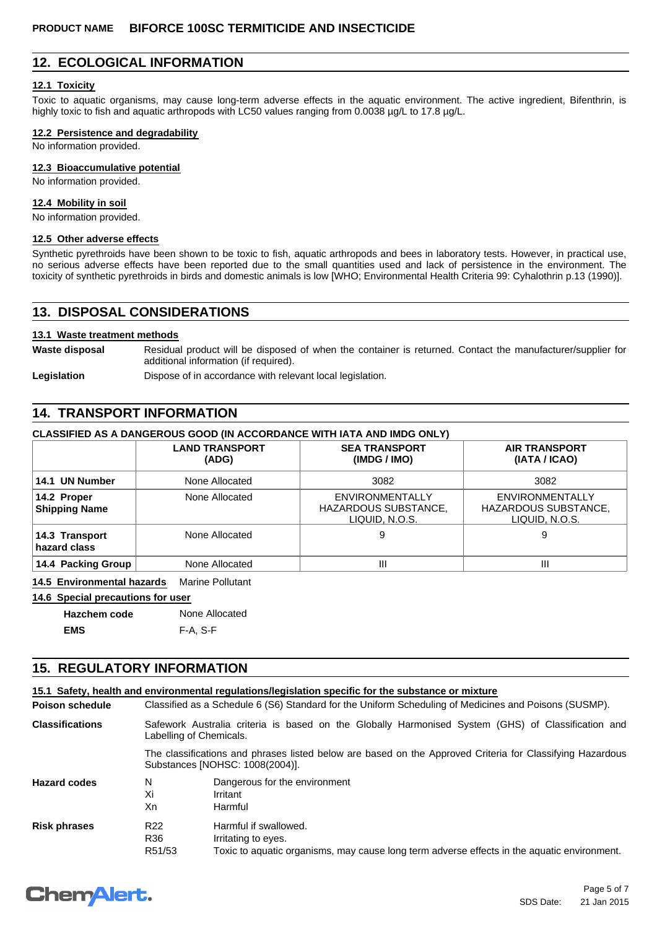# **12. ECOLOGICAL INFORMATION**

#### **12.1 Toxicity**

Toxic to aquatic organisms, may cause long-term adverse effects in the aquatic environment. The active ingredient, Bifenthrin, is highly toxic to fish and aquatic arthropods with LC50 values ranging from 0.0038 µg/L to 17.8 µg/L.

#### **12.2 Persistence and degradability**

No information provided.

#### **12.3 Bioaccumulative potential**

No information provided.

#### **12.4 Mobility in soil**

No information provided.

#### **12.5 Other adverse effects**

Synthetic pyrethroids have been shown to be toxic to fish, aquatic arthropods and bees in laboratory tests. However, in practical use, no serious adverse effects have been reported due to the small quantities used and lack of persistence in the environment. The toxicity of synthetic pyrethroids in birds and domestic animals is low [WHO; Environmental Health Criteria 99: Cyhalothrin p.13 (1990)].

## **13. DISPOSAL CONSIDERATIONS**

#### **13.1 Waste treatment methods**

Waste disposal **Residual product will be disposed of when the container is returned. Contact the manufacturer/supplier for** additional information (if required).

Legislation **Dispose of in accordance with relevant local legislation.** 

# **14. TRANSPORT INFORMATION**

## **CLASSIFIED AS A DANGEROUS GOOD (IN ACCORDANCE WITH IATA AND IMDG ONLY)**

|                                     | <b>LAND TRANSPORT</b><br>(ADG) | <b>SEA TRANSPORT</b><br>(IMDG / IMO)                      | <b>AIR TRANSPORT</b><br>(IATA / ICAO)                     |
|-------------------------------------|--------------------------------|-----------------------------------------------------------|-----------------------------------------------------------|
| 14.1 UN Number                      | None Allocated                 | 3082                                                      | 3082                                                      |
| 14.2 Proper<br><b>Shipping Name</b> | None Allocated                 | ENVIRONMENTALLY<br>HAZARDOUS SUBSTANCE,<br>LIQUID. N.O.S. | ENVIRONMENTALLY<br>HAZARDOUS SUBSTANCE,<br>LIQUID, N.O.S. |
| 14.3 Transport<br>hazard class      | None Allocated                 | 9                                                         | 9                                                         |
| 14.4 Packing Group                  | None Allocated                 | Ш                                                         | Ш                                                         |

**14.5 Environmental hazards** Marine Pollutant

**14.6 Special precautions for user**

**Hazchem code** None Allocated

**EMS** F-A, S-F

# **15. REGULATORY INFORMATION**

|                        |                                                                                                                                              | 15.1 Safety, health and environmental requiations/legislation specific for the substance or mixture                                         |  |
|------------------------|----------------------------------------------------------------------------------------------------------------------------------------------|---------------------------------------------------------------------------------------------------------------------------------------------|--|
| <b>Poison schedule</b> | Classified as a Schedule 6 (S6) Standard for the Uniform Scheduling of Medicines and Poisons (SUSMP).                                        |                                                                                                                                             |  |
| <b>Classifications</b> |                                                                                                                                              | Safework Australia criteria is based on the Globally Harmonised System (GHS) of Classification and<br>Labelling of Chemicals.               |  |
|                        | The classifications and phrases listed below are based on the Approved Criteria for Classifying Hazardous<br>Substances [NOHSC: 1008(2004)]. |                                                                                                                                             |  |
| <b>Hazard codes</b>    | N<br>Xi<br>Xn                                                                                                                                | Dangerous for the environment<br>Irritant<br>Harmful                                                                                        |  |
| <b>Risk phrases</b>    | R <sub>22</sub><br>R36<br>R51/53                                                                                                             | Harmful if swallowed.<br>Irritating to eyes.<br>Toxic to aquatic organisms, may cause long term adverse effects in the aquatic environment. |  |

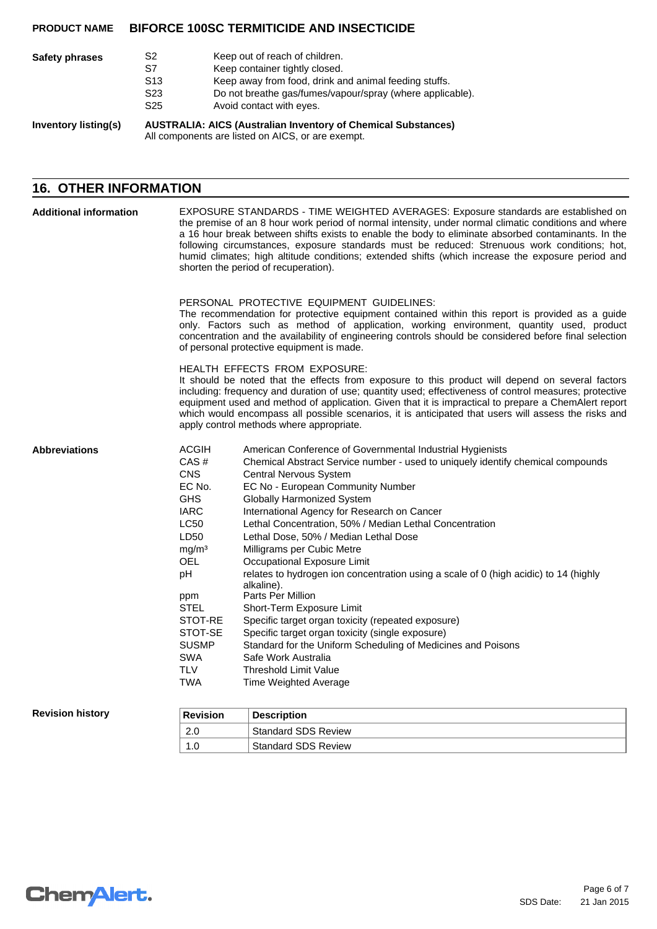| <b>Safety phrases</b>       | S2<br>S7                                                                                                                  | Keep out of reach of children.<br>Keep container tightly closed.                      |
|-----------------------------|---------------------------------------------------------------------------------------------------------------------------|---------------------------------------------------------------------------------------|
|                             | S <sub>13</sub>                                                                                                           | Keep away from food, drink and animal feeding stuffs.                                 |
|                             | S23<br>S <sub>25</sub>                                                                                                    | Do not breathe gas/fumes/vapour/spray (where applicable).<br>Avoid contact with eyes. |
| <b>Inventory listing(s)</b> | <b>AUSTRALIA: AICS (Australian Inventory of Chemical Substances)</b><br>All components are listed on AICS, or are exempt. |                                                                                       |

# **16. OTHER INFORMATION**

| <b>Additional information</b> |                                                                                                                                                                                                                                          | EXPOSURE STANDARDS - TIME WEIGHTED AVERAGES: Exposure standards are established on<br>the premise of an 8 hour work period of normal intensity, under normal climatic conditions and where<br>a 16 hour break between shifts exists to enable the body to eliminate absorbed contaminants. In the<br>following circumstances, exposure standards must be reduced: Strenuous work conditions; hot,<br>humid climates; high altitude conditions; extended shifts (which increase the exposure period and<br>shorten the period of recuperation).                                                                                                                                                                                                                                                                                                                                     |  |  |  |
|-------------------------------|------------------------------------------------------------------------------------------------------------------------------------------------------------------------------------------------------------------------------------------|------------------------------------------------------------------------------------------------------------------------------------------------------------------------------------------------------------------------------------------------------------------------------------------------------------------------------------------------------------------------------------------------------------------------------------------------------------------------------------------------------------------------------------------------------------------------------------------------------------------------------------------------------------------------------------------------------------------------------------------------------------------------------------------------------------------------------------------------------------------------------------|--|--|--|
|                               |                                                                                                                                                                                                                                          | PERSONAL PROTECTIVE EQUIPMENT GUIDELINES:<br>The recommendation for protective equipment contained within this report is provided as a guide<br>only. Factors such as method of application, working environment, quantity used, product<br>concentration and the availability of engineering controls should be considered before final selection<br>of personal protective equipment is made.                                                                                                                                                                                                                                                                                                                                                                                                                                                                                    |  |  |  |
|                               |                                                                                                                                                                                                                                          | HEALTH EFFECTS FROM EXPOSURE:<br>It should be noted that the effects from exposure to this product will depend on several factors<br>including: frequency and duration of use; quantity used; effectiveness of control measures; protective<br>equipment used and method of application. Given that it is impractical to prepare a ChemAlert report<br>which would encompass all possible scenarios, it is anticipated that users will assess the risks and<br>apply control methods where appropriate.                                                                                                                                                                                                                                                                                                                                                                            |  |  |  |
| <b>Abbreviations</b>          | <b>ACGIH</b><br>CAS#<br><b>CNS</b><br>EC No.<br><b>GHS</b><br><b>IARC</b><br><b>LC50</b><br>LD50<br>mg/m <sup>3</sup><br><b>OEL</b><br>рH<br>ppm<br><b>STEL</b><br>STOT-RE<br>STOT-SE<br><b>SUSMP</b><br><b>SWA</b><br><b>TLV</b><br>TWA | American Conference of Governmental Industrial Hygienists<br>Chemical Abstract Service number - used to uniquely identify chemical compounds<br>Central Nervous System<br>EC No - European Community Number<br><b>Globally Harmonized System</b><br>International Agency for Research on Cancer<br>Lethal Concentration, 50% / Median Lethal Concentration<br>Lethal Dose, 50% / Median Lethal Dose<br>Milligrams per Cubic Metre<br>Occupational Exposure Limit<br>relates to hydrogen ion concentration using a scale of 0 (high acidic) to 14 (highly<br>alkaline).<br>Parts Per Million<br>Short-Term Exposure Limit<br>Specific target organ toxicity (repeated exposure)<br>Specific target organ toxicity (single exposure)<br>Standard for the Uniform Scheduling of Medicines and Poisons<br>Safe Work Australia<br><b>Threshold Limit Value</b><br>Time Weighted Average |  |  |  |
| <b>Revision history</b>       | <b>Revision</b>                                                                                                                                                                                                                          | <b>Description</b>                                                                                                                                                                                                                                                                                                                                                                                                                                                                                                                                                                                                                                                                                                                                                                                                                                                                 |  |  |  |
|                               | 2.0                                                                                                                                                                                                                                      | <b>Standard SDS Review</b>                                                                                                                                                                                                                                                                                                                                                                                                                                                                                                                                                                                                                                                                                                                                                                                                                                                         |  |  |  |

1.0 Standard SDS Review